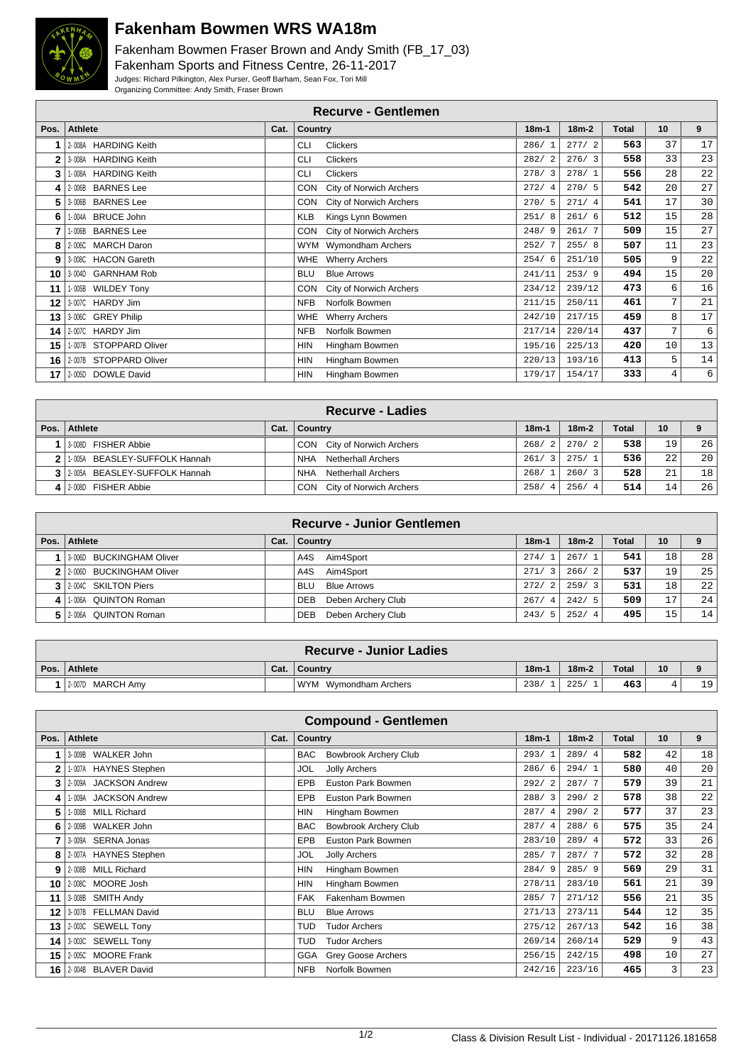

## **Fakenham Bowmen WRS WA18m**

Fakenham Bowmen Fraser Brown and Andy Smith (FB\_17\_03) Fakenham Sports and Fitness Centre, 26-11-2017 Judges: Richard Pilkington, Alex Purser, Geoff Barham, Sean Fox, Tori Mill Organizing Committee: Andy Smith, Fraser Brown

| <b>Recurve - Gentlemen</b>          |      |                                  |         |         |       |                 |    |  |  |  |
|-------------------------------------|------|----------------------------------|---------|---------|-------|-----------------|----|--|--|--|
| <b>Athlete</b><br>Pos.              | Cat. | Country                          | $18m-1$ | $18m-2$ | Total | 10 <sup>1</sup> | 9  |  |  |  |
| 2-008A HARDING Keith                |      | <b>CLI</b><br><b>Clickers</b>    | 286/1   | 277/2   | 563   | 37              | 17 |  |  |  |
| <b>HARDING Keith</b><br>3-008A<br>2 |      | <b>CLI</b><br>Clickers           | 282/2   | 276/3   | 558   | 33              | 23 |  |  |  |
| <b>HARDING Keith</b><br>3<br>1-008A |      | <b>CLI</b><br><b>Clickers</b>    | 278/3   | 278/1   | 556   | 28              | 22 |  |  |  |
| <b>BARNES</b> Lee<br>2-006B<br>4    |      | City of Norwich Archers<br>CON   | 272/4   | 270/5   | 542   | 20              | 27 |  |  |  |
| <b>BARNES</b> Lee<br>5<br>3-006B    |      | City of Norwich Archers<br>CON   | 270/5   | 271/4   | 541   | 17              | 30 |  |  |  |
| <b>BRUCE John</b><br>1-004A<br>6    |      | KLB<br>Kings Lynn Bowmen         | 251/8   | 261/6   | 512   | 15              | 28 |  |  |  |
| 1-006B<br><b>BARNES</b> Lee         |      | CON City of Norwich Archers      | 248/9   | 261/7   | 509   | 15              | 27 |  |  |  |
| <b>MARCH Daron</b><br>8<br>2-006C   |      | WYM Wymondham Archers            | 252/7   | 255/8   | 507   | 11              | 23 |  |  |  |
| 3-008C HACON Gareth<br>9            |      | WHE Wherry Archers               | 254/6   | 251/10  | 505   | 9               | 22 |  |  |  |
| 3-004D GARNHAM Rob<br>10            |      | <b>Blue Arrows</b><br><b>BLU</b> | 241/11  | 253/9   | 494   | 15              | 20 |  |  |  |
| 1-005B WILDEY Tony<br>11            |      | CON City of Norwich Archers      | 234/12  | 239/12  | 473   | 6               | 16 |  |  |  |
| 3-007C HARDY Jim<br>12              |      | Norfolk Bowmen<br><b>NFB</b>     | 211/15  | 250/11  | 461   | 7               | 21 |  |  |  |
| 3-006C GREY Philip<br>13            |      | WHE Wherry Archers               | 242/10  | 217/15  | 459   | 8               | 17 |  |  |  |
| 2-007C HARDY Jim<br>14              |      | <b>NFB</b><br>Norfolk Bowmen     | 217/14  | 220/14  | 437   | 7               | 6  |  |  |  |
| 15<br>1-007B STOPPARD Oliver        |      | <b>HIN</b><br>Hingham Bowmen     | 195/16  | 225/13  | 420   | 10              | 13 |  |  |  |
| 2-007B STOPPARD Oliver<br>16        |      | <b>HIN</b><br>Hingham Bowmen     | 220/13  | 193/16  | 413   | 5               | 14 |  |  |  |
| 2-005D DOWLE David<br>17            |      | <b>HIN</b><br>Hingham Bowmen     | 179/17  | 154/17  | 333   | 4               | 6  |  |  |  |
|                                     |      |                                  |         |         |       |                 |    |  |  |  |

| Recurve - Ladies                |      |                             |           |         |              |    |                 |  |
|---------------------------------|------|-----------------------------|-----------|---------|--------------|----|-----------------|--|
| Pos.   Athlete                  | Cat. | Country                     | $18m - 1$ | $18m-2$ | <b>Total</b> | 10 | 9               |  |
| 1 3008D FISHER Abbie            |      | CON City of Norwich Archers | 268/2     | 270/2   | 538          | 19 | 26              |  |
| 2 1.005A BEASLEY-SUFFOLK Hannah |      | Netherhall Archers<br>NHA   | 261/3     | 275/1   | 536          | 22 | 20              |  |
| 3 2005A BEASLEY-SUFFOLK Hannah  |      | Netherhall Archers<br>NHA   | 268/1     | 260/3   | 528          | 21 | 18 <sup>1</sup> |  |
| 4 2008D FISHER Abbie            |      | CON City of Norwich Archers | 258/4     | 256/4   | 514          | 14 | 26              |  |

|          | <b>Recurve - Junior Gentlemen</b> |      |                                  |                        |         |       |    |    |  |  |
|----------|-----------------------------------|------|----------------------------------|------------------------|---------|-------|----|----|--|--|
| Pos. $ $ | Athlete                           | Cat. | <b>Country</b>                   | $18m - 1$              | $18m-2$ | Total | 10 |    |  |  |
|          | 3-006D BUCKINGHAM Oliver          |      | Aim4Sport<br>A4S                 | 274/                   | 267/1   | 541   | 18 | 28 |  |  |
|          | 2 2 2006D BUCKINGHAM Oliver       |      | Aim4Sport<br>A4S                 | 271/<br>-3             | 266/2   | 537   | 19 | 25 |  |  |
|          | 3 2004C SKILTON Piers             |      | <b>Blue Arrows</b><br><b>BLU</b> | 272/<br>$\overline{2}$ | 259/3   | 531   | 18 | 22 |  |  |
| $\vert$  | 1.006A QUINTON Roman              |      | Deben Archery Club<br><b>DEB</b> | 267/<br>-4             | 242/5   | 509   | 17 | 24 |  |  |
| 51       | 2-006A QUINTON Roman              |      | Deben Archery Club<br><b>DEB</b> | 243/                   | 252/4   | 495   | 15 | 14 |  |  |

| <b>Recurve - Junior Ladies</b> |      |                        |         |         |              |    |    |  |  |
|--------------------------------|------|------------------------|---------|---------|--------------|----|----|--|--|
| Pos. Athlete                   | Cat. | $\blacksquare$ Country | $18m-1$ | $18m-2$ | <b>Total</b> | 10 |    |  |  |
| 1 2-007D MARCH Amv             |      | WYM Wymondham Archers  | 238/    | 225/    | 463          |    | 19 |  |  |

|      | <b>Compound - Gentlemen</b>     |      |                                            |         |         |       |                 |                 |  |  |  |
|------|---------------------------------|------|--------------------------------------------|---------|---------|-------|-----------------|-----------------|--|--|--|
| Pos. | <b>Athlete</b>                  | Cat. | <b>Country</b>                             | $18m-1$ | $18m-2$ | Total | 10 <sup>1</sup> | 9               |  |  |  |
|      | 3-009B WALKER John              |      | <b>Bowbrook Archery Club</b><br><b>BAC</b> | 293/1   | 289/4   | 582   | 42              | 18              |  |  |  |
| 2    | 1-007A HAYNES Stephen           |      | Jolly Archers<br>JOL                       | 286/6   | 294/1   | 580   | 40              | 20 <sup>1</sup> |  |  |  |
| 3    | 2-009A<br><b>JACKSON Andrew</b> |      | <b>EPB</b><br>Euston Park Bowmen           | 292/2   | 287/7   | 579   | 39              | 21              |  |  |  |
| 4    | 1-009A<br><b>JACKSON Andrew</b> |      | <b>EPB</b><br>Euston Park Bowmen           | 288/3   | 290/2   | 578   | 38              | 22              |  |  |  |
| 5    | 1-008B<br><b>MILL Richard</b>   |      | <b>HIN</b><br>Hingham Bowmen               | 287/4   | 290/2   | 577   | 37              | 23              |  |  |  |
| 6    | <b>WALKER John</b><br>2-009B    |      | <b>Bowbrook Archery Club</b><br><b>BAC</b> | 287/4   | 288/6   | 575   | 35              | 24              |  |  |  |
|      | 3-009A SERNA Jonas              |      | <b>EPB</b><br>Euston Park Bowmen           | 283/10  | 289/4   | 572   | 33              | 26              |  |  |  |
| 8    | 2-007A HAYNES Stephen           |      | <b>JOL</b><br><b>Jolly Archers</b>         | 285/7   | 287/7   | 572   | 32              | 28              |  |  |  |
| 9    | <b>MILL Richard</b><br>2-008B   |      | <b>HIN</b><br>Hingham Bowmen               | 284/9   | 285/9   | 569   | 29              | 31              |  |  |  |
| 10   | 2-008C MOORE Josh               |      | <b>HIN</b><br>Hingham Bowmen               | 278/11  | 283/10  | 561   | 21              | 39              |  |  |  |
| 11 I | 3-008B SMITH Andy               |      | <b>FAK</b><br>Fakenham Bowmen              | 285/7   | 271/12  | 556   | 21              | 35              |  |  |  |
| 12   | 3-007B FELLMAN David            |      | <b>BLU</b><br><b>Blue Arrows</b>           | 271/13  | 273/11  | 544   | 12              | 35              |  |  |  |
| 13 I | 2-003C SEWELL Tony              |      | <b>TUD</b><br><b>Tudor Archers</b>         | 275/12  | 267/13  | 542   | 16              | 38              |  |  |  |
| 14 I | 3-003C SEWELL Tony              |      | <b>TUD</b><br><b>Tudor Archers</b>         | 269/14  | 260/14  | 529   | 9               | 43              |  |  |  |
| 15 I | 2-005C MOORE Frank              |      | <b>GGA</b><br>Grey Goose Archers           | 256/15  | 242/15  | 498   | 10              | 27              |  |  |  |
| 16 I | 2-004B BLAVER David             |      | <b>NFB</b><br>Norfolk Bowmen               | 242/16  | 223/16  | 465   | 3               | 23              |  |  |  |